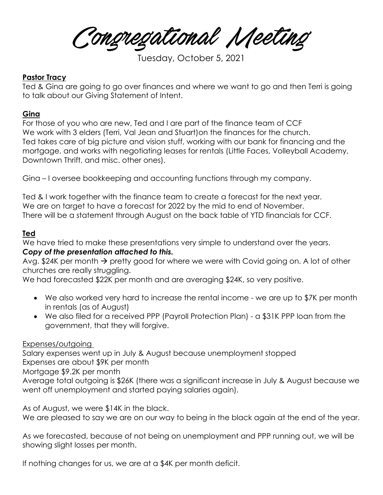Congregational Meeting

Tuesday, October 5, 2021

### **Pastor Tracy**

Ted & Gina are going to go over finances and where we want to go and then Terri is going to talk about our Giving Statement of Intent.

#### **Gina**

For those of you who are new, Ted and I are part of the finance team of CCF We work with 3 elders (Terri, Val Jean and Stuart)on the finances for the church. Ted takes care of big picture and vision stuff, working with our bank for financing and the mortgage, and works with negotiating leases for rentals (Little Faces, Volleyball Academy, Downtown Thrift, and misc. other ones).

Gina – I oversee bookkeeping and accounting functions through my company.

Ted & I work together with the finance team to create a forecast for the next year. We are on target to have a forecast for 2022 by the mid to end of November. There will be a statement through August on the back table of YTD financials for CCF.

#### **Ted**

We have tried to make these presentations very simple to understand over the years. *Copy of the presentation attached to this.* 

Avg. \$24K per month  $\rightarrow$  pretty good for where we were with Covid going on. A lot of other churches are really struggling.

We had forecasted \$22K per month and are averaging \$24K, so very positive.

- We also worked very hard to increase the rental income we are up to \$7K per month in rentals (as of August)
- We also filed for a received PPP (Payroll Protection Plan) a \$31K PPP loan from the government, that they will forgive.

Expenses/outgoing

Salary expenses went up in July & August because unemployment stopped Expenses are about \$9K per month Mortgage \$9.2K per month

Average total outgoing is \$26K (there was a significant increase in July & August because we went off unemployment and started paying salaries again).

As of August, we were \$14K in the black.

We are pleased to say we are on our way to being in the black again at the end of the year.

As we forecasted, because of not being on unemployment and PPP running out, we will be showing slight losses per month.

If nothing changes for us, we are at a \$4K per month deficit.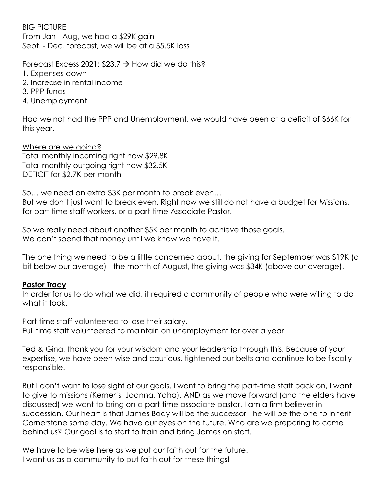#### BIG PICTURE

From Jan - Aug, we had a \$29K gain Sept. - Dec. forecast, we will be at a \$5.5K loss

Forecast Excess 2021:  $$23.7 \rightarrow$  How did we do this?

- 1. Expenses down
- 2. Increase in rental income
- 3. PPP funds
- 4. Unemployment

Had we not had the PPP and Unemployment, we would have been at a deficit of \$66K for this year.

Where are we going? Total monthly incoming right now \$29.8K Total monthly outgoing right now \$32.5K DEFICIT for \$2.7K per month

So… we need an extra \$3K per month to break even… But we don't just want to break even. Right now we still do not have a budget for Missions, for part-time staff workers, or a part-time Associate Pastor.

So we really need about another \$5K per month to achieve those goals. We can't spend that money until we know we have it.

The one thing we need to be a little concerned about, the giving for September was \$19K (a bit below our average) - the month of August, the giving was \$34K (above our average).

## **Pastor Tracy**

In order for us to do what we did, it required a community of people who were willing to do what it took.

Part time staff volunteered to lose their salary. Full time staff volunteered to maintain on unemployment for over a year.

Ted & Gina, thank you for your wisdom and your leadership through this. Because of your expertise, we have been wise and cautious, tightened our belts and continue to be fiscally responsible.

But I don't want to lose sight of our goals. I want to bring the part-time staff back on, I want to give to missions (Kerner's, Joanna, Yaha), AND as we move forward (and the elders have discussed) we want to bring on a part-time associate pastor. I am a firm believer in succession. Our heart is that James Bady will be the successor - he will be the one to inherit Cornerstone some day. We have our eyes on the future. Who are we preparing to come behind us? Our goal is to start to train and bring James on staff.

We have to be wise here as we put our faith out for the future. I want us as a community to put faith out for these things!